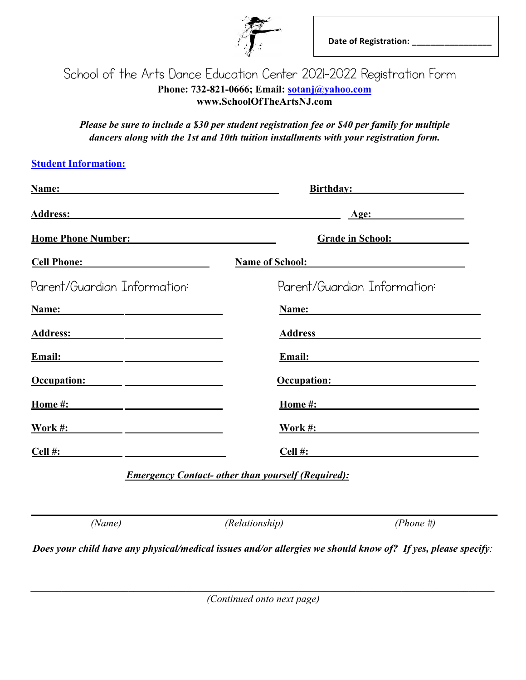

## School of the Arts Dance Education Center 2021-2022 Registration Form<br>Phone: 732-821-0666; Email: <u>sotanj@yahoo.com</u><br>www.SchoolOfTheArtsNJ.com<br>Please be sure to include a \$30 per student registration fee or \$40 per family **Phone: 732-821-0666; Email: sotanj@yahoo.com www.SchoolOfTheArtsNJ.com**

*Please be sure to include a \$25 per student registration fee or \$35 per family for multiple Please be sure to include a \$30 per student registration fee or \$40 per family for multiple dancers along with the 1st and 10th tuition installments with your registration form.* 

## **Student Information:**

| Name:                        | <b>Birthday:</b>             |  |
|------------------------------|------------------------------|--|
| <b>Address:</b>              | Age:                         |  |
| <b>Home Phone Number:</b>    | <b>Grade in School:</b>      |  |
| <b>Cell Phone:</b>           | <b>Name of School:</b>       |  |
| Parent/Guardian Information: | Parent/Guardian Information: |  |
| Name:                        | Name:                        |  |
| <b>Address:</b>              | <b>Address</b>               |  |
| Email:                       | Email:                       |  |
| Occupation:                  | Occupation:                  |  |
| Home #:                      | Home #:                      |  |
| Work #:                      | <b>Work #:</b>               |  |
| Cell #:                      | Cell #:                      |  |
|                              |                              |  |

 *Emergency Contact- other than yourself (Required):*

*(Name) (Relationship) (Phone #)* 

*Does your child have any physical/medical issues and/or allergies we should know of? If yes, please specify:* 

*(Continued onto next page)*